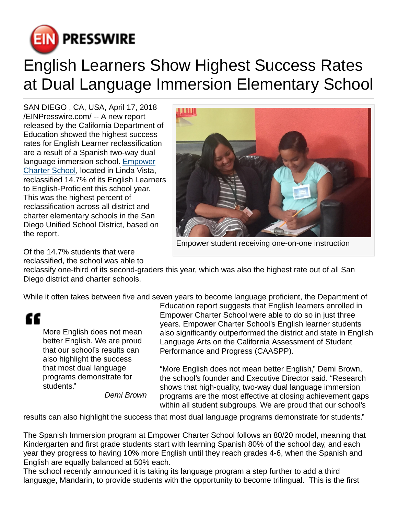

## English Learners Show Highest Success Rates at Dual Language Immersion Elementary School

SAN DIEGO , CA, USA, April 17, 2018 [/EINPresswire.com](http://www.einpresswire.com)/ -- A new report released by the California Department of Education showed the highest success rates for English Learner reclassification are a result of a Spanish two-way dual language immersion school. [Empower](http://www.empowercharter.org) [Charter School,](http://www.empowercharter.org) located in Linda Vista, reclassified 14.7% of its English Learners to English-Proficient this school year. This was the highest percent of reclassification across all district and charter elementary schools in the San Diego Unified School District, based on the report.



Empower student receiving one-on-one instruction

Of the 14.7% students that were reclassified, the school was able to

reclassify one-third of its second-graders this year, which was also the highest rate out of all San Diego district and charter schools.

While it often takes between five and seven years to become language proficient, the Department of

More English does not mean better English. We are proud that our school's results can also highlight the success that most dual language programs demonstrate for students."

Demi Brown

Education report suggests that English learners enrolled in Empower Charter School were able to do so in just three years. Empower Charter School's English learner students also significantly outperformed the district and state in English Language Arts on the California Assessment of Student Performance and Progress (CAASPP).

"More English does not mean better English," Demi Brown, the school's founder and Executive Director said. "Research shows that high-quality, two-way dual language immersion programs are the most effective at closing achievement gaps within all student subgroups. We are proud that our school's

results can also highlight the success that most dual language programs demonstrate for students."

The Spanish Immersion program at Empower Charter School follows an 80/20 model, meaning that Kindergarten and first grade students start with learning Spanish 80% of the school day, and each year they progress to having 10% more English until they reach grades 4-6, when the Spanish and English are equally balanced at 50% each.

The school recently announced it is taking its language program a step further to add a third language, Mandarin, to provide students with the opportunity to become trilingual. This is the first

<sup>&</sup>quot;